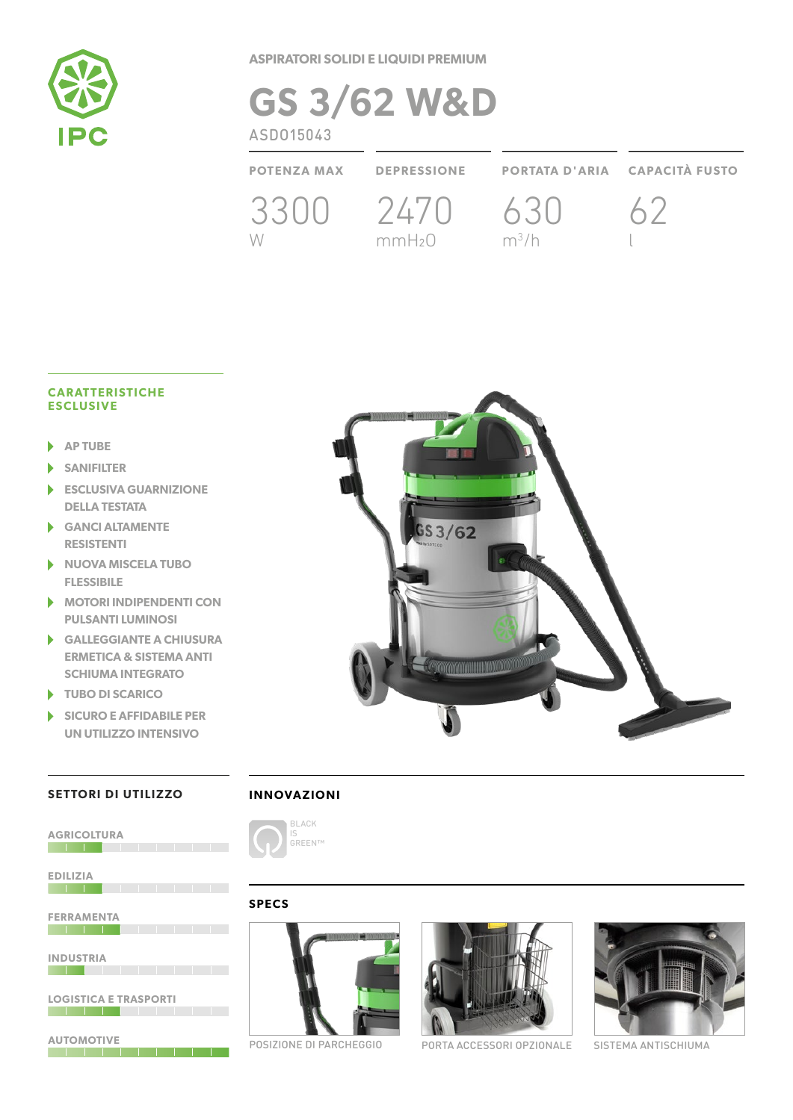

**ASPIRATORI SOLIDI E LIQUIDI PREMIUM**

# **GS 3/62 W&D POTENZA MAX DEPRESSIONE PORTATA D'ARIA CAPACITÀ FUSTO** 3300 2470 W mmH2O 630  $m^3/h$ 62 l ASDO15043

### **CARATTERISTICHE ESCLUSIVE**

- **AP TUBE** ь
- ь **SANIFILTER**
- **ESCLUSIVA GUARNIZIONE DELLA TESTATA**
- **GANCI ALTAMENTE RESISTENTI**
- **NUOVA MISCELA TUBO**  ь **FLESSIBILE**
- **MOTORI INDIPENDENTI CON PULSANTI LUMINOSI**
- **GALLEGGIANTE A CHIUSURA ERMETICA & SISTEMA ANTI SCHIUMA INTEGRATO**
- **TUBO DI SCARICO**
- **SICURO E AFFIDABILE PER**  ь **UN UTILIZZO INTENSIVO**



## **SETTORI DI UTILIZZO**

**AGRICOLTURA** 

**EDILIZIA**



## **SPECS**







POSIZIONE DI PARCHEGGIO PORTA ACCESSORI OPZIONALE SISTEMA ANTISCHIUMA